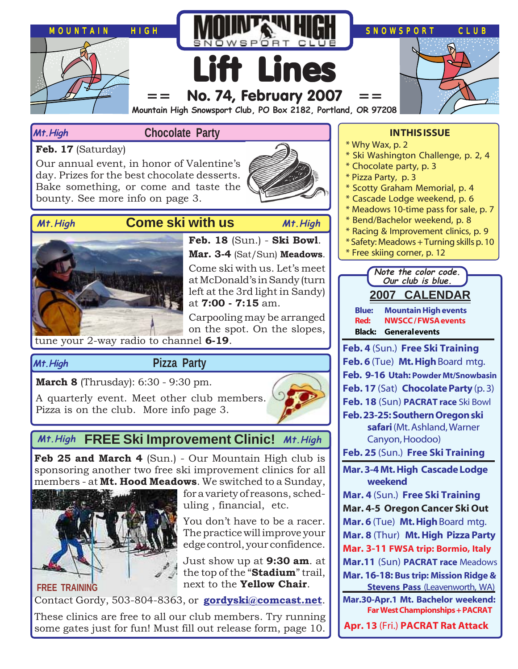

#### **Mt.High**

#### **Chocolate Party**

**Feb. 17** (Saturday)

Our annual event, in honor of Valentine's day. Prizes for the best chocolate desserts. Bake something, or come and taste the bounty. See more info on page 3.

**Mt.High**

## **Come ski with us Mt.High Mt.High**





#### **Feb. 18** (Sun.) - **Ski Bowl**. **Mar. 3-4** (Sat/Sun) **Meadows**. Come ski with us. Let's meet at McDonald's in Sandy (turn left at the 3rd light in Sandy)

at **7:00 - 7:15** am. Carpooling may be arranged on the spot. On the slopes,

tune your 2-way radio to channel **6-19**.

### **Pizza Party**

**March 8** (Thrusday): 6:30 - 9:30 pm.

A quarterly event. Meet other club members. Pizza is on the club. More info page 3.



## **FREE Ski Improvement Clinic! Mt.High Mt.High**

Feb 25 and March 4 (Sun.) - Our Mountain High club is sponsoring another two free ski improvement clinics for all members - at **Mt. Hood Meadows**. We switched to a Sunday,



for a variety of reasons, scheduling , financial, etc.

You don't have to be a racer. The practice will improve your edge control, your confidence.

Just show up at **9:30 am**. at the top of the "**Stadium**" trail, next to the **Yellow Chair**.

Contact Gordy, 503-804-8363, or **[gordyski@comcast.net](mailto:gordylusk@hotmail.com)**.

These clinics are free to all our club members. Try running some gates just for fun! Must fill out release form, page 10.

#### **IN THIS ISSUE**

- \* Why Wax, p. 2
- \* Ski Washington Challenge, p. 2, 4
- \* Chocolate party, p. 3
- \* Pizza Party, p. 3
- \* Scotty Graham Memorial, p. 4
- \* Cascade Lodge weekend, p. 6
- \* Meadows 10-time pass for sale, p. 7
- \* Bend/Bachelor weekend, p. 8
- \* Racing & Improvement clinics, p. 9
- \* Safety: Meadows + Turning skills p. 10
- \* Free skiing corner, p. 12

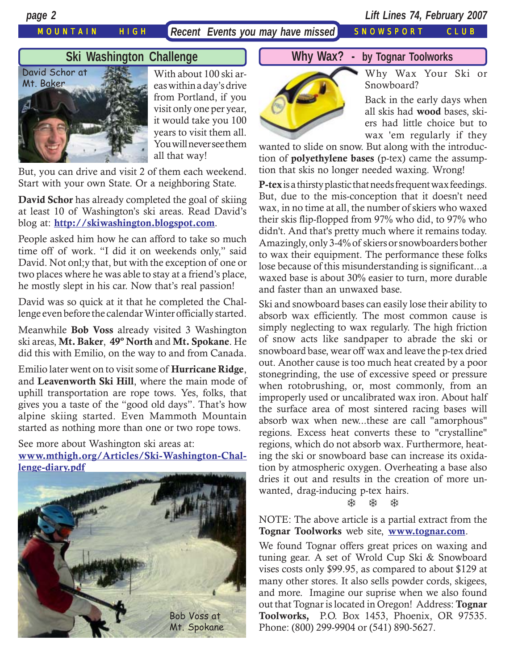MOUNTAIN HIGH *Recent Events you may have missed* SNOWSPORT CLUB

*page 2 Lift Lines 74, February 2007*

## **Ski Washington Challenge**



With about 100 ski areas within a day's drive from Portland, if you visit only one per year, it would take you 100 years to visit them all. You will never see them all that way!

But, you can drive and visit 2 of them each weekend. Start with your own State. Or a neighboring State.

**David Schor** has already completed the goal of skiing at least 10 of Washington's ski areas. Read David's blog at: **<http://skiwashington.blogspot.com>**.

People asked him how he can afford to take so much time off of work. "I did it on weekends only," said David. Not onl;y that, but with the exception of one or two places where he was able to stay at a friend's place, he mostly slept in his car. Now that's real passion!

David was so quick at it that he completed the Challenge even before the calendar Winter officially started.

Meanwhile **Bob Voss** already visited 3 Washington ski areas, **Mt. Baker**, **49º North** and **Mt. Spokane**. He did this with Emilio, on the way to and from Canada.

Emilio later went on to visit some of **Hurricane Ridge**, and **Leavenworth Ski Hill**, where the main mode of uphill transportation are rope tows. Yes, folks, that gives you a taste of the "good old days". That's how alpine skiing started. Even Mammoth Mountain started as nothing more than one or two rope tows.

See more about Washington ski areas at: **[www.mthigh.org/Articles/Ski-Washington-Chal](http://www.mthigh.org/Articles/Ski-Washington-Challenge-diary.pdf)[lenge-diary.pdf](http://www.mthigh.org/Articles/Ski-Washington-Challenge-diary.pdf)**



### **Why Wax? - by Tognar Toolworks**



Why Wax Your Ski or Snowboard?

Back in the early days when all skis had **wood** bases, skiers had little choice but to wax 'em regularly if they

wanted to slide on snow. But along with the introduction of **polyethylene bases** (p-tex) came the assumption that skis no longer needed waxing. Wrong!

**P-tex** is a thirsty plastic that needs frequent wax feedings. But, due to the mis-conception that it doesn't need wax, in no time at all, the number of skiers who waxed their skis flip-flopped from 97% who did, to 97% who didn't. And that's pretty much where it remains today. Amazingly, only 3-4% of skiers or snowboarders bother to wax their equipment. The performance these folks lose because of this misunderstanding is significant...a waxed base is about 30% easier to turn, more durable and faster than an unwaxed base.

Ski and snowboard bases can easily lose their ability to absorb wax efficiently. The most common cause is simply neglecting to wax regularly. The high friction of snow acts like sandpaper to abrade the ski or snowboard base, wear off wax and leave the p-tex dried out. Another cause is too much heat created by a poor stonegrinding, the use of excessive speed or pressure when rotobrushing, or, most commonly, from an improperly used or uncalibrated wax iron. About half the surface area of most sintered racing bases will absorb wax when new...these are call "amorphous" regions. Excess heat converts these to "crystalline" regions, which do not absorb wax. Furthermore, heating the ski or snowboard base can increase its oxidation by atmospheric oxygen. Overheating a base also dries it out and results in the creation of more unwanted, drag-inducing p-tex hairs.

#### ※ ※ ※

NOTE: The above article is a partial extract from the **Tognar Toolworks** web site, **[www.tognar.com](http://www.tognar.com/)**.

We found Tognar offers great prices on waxing and tuning gear. A set of Wrold Cup Ski & Snowboard vises costs only \$99.95, as compared to about \$129 at many other stores. It also sells powder cords, skigees, and more. Imagine our suprise when we also found out that Tognar is located in Oregon! Address: **Tognar Toolworks,** P.O. Box 1453, Phoenix, OR 97535. Phone: (800) 299-9904 or (541) 890-5627.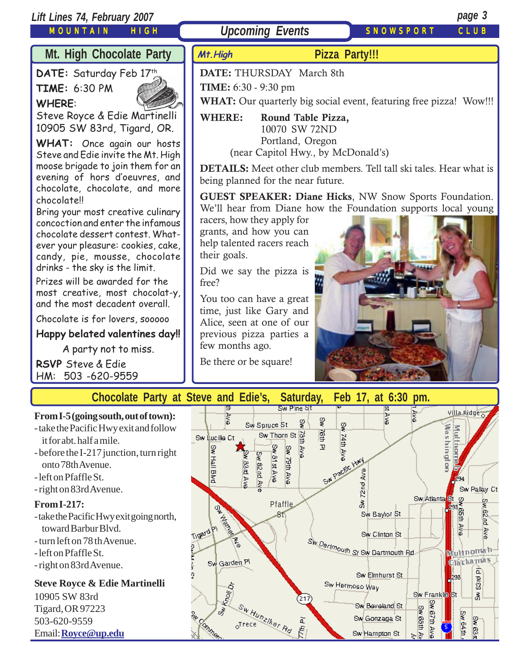## *Lift Lines 74, February 2007 page 3*

MOUNTAIN HIGH

**Upcoming Events** SNOWSPORT CLUB

**TIME:** 6:30 - 9:30 pm

**Mt.High**

**DATE:** THURSDAY March 8th

**WHERE: Round Table Pizza,**

10070 SW 72ND

# **Mt. High Chocolate Party**

DATE: Saturday Feb 17th

**TIME:** 6:30 PM **WHERE**:



Steve Royce & Edie Martinelli 10905 SW 83rd, Tigard, OR.

**WHAT:** Once again our hosts Steve and Edie invite the Mt. High moose brigade to join them for an evening of hors d'oeuvres, and chocolate, chocolate, and more chocolate!!

Bring your most creative culinary concoction and enter the infamous chocolate dessert contest. Whatever your pleasure: cookies, cake, candy, pie, mousse, chocolate drinks - the sky is the limit.

Prizes will be awarded for the most creative, most chocolat-y, and the most decadent overall.

Chocolate is for lovers, sooooo

**Happy belated valentines day!!**

A party not to miss.

**RSVP** Steve & Edie HM: 503 -620-9559

Portland, Oregon (near Capitol Hwy., by McDonald's) **DETAILS:** Meet other club members. Tell tall ski tales. Hear what is being planned for the near future. **GUEST SPEAKER: Diane Hicks**, NW Snow Sports Foundation. We'll hear from Diane how the Foundation supports local young racers, how they apply for grants, and how you can help talented racers reach

**Pizza Party!!!**

**WHAT:** Our quarterly big social event, featuring free pizza! Wow!!!

Did we say the pizza is free?

their goals.

You too can have a great time, just like Gary and Alice, seen at one of our previous pizza parties a few months ago.

Be there or be square!



**Chocolate Party at Steve and Edie's, Saturday, Feb 17, at 6:30 pm.**

**From I-5 (going south, out of town):** - take the Pacific Hwy exit and follow

- it for abt. half a mile.
- before the I-217 junction, turn right onto 78th Avenue.
- left on Pfaffle St.
- right on 83rd Avenue.

#### **From I-217:**

- take the Pacific Hwy exit going north, toward Barbur Blvd.
- turn left on 78 th Avenue.
- left on Pfaffle St.
- right on 83rd Avenue.

## **Steve Royce & Edie Martinelli**

10905 SW 83rd Tigard, OR 97223 503-620-9559 Email: **[Royce@up.edu](mailto:Royce@up.edu)**

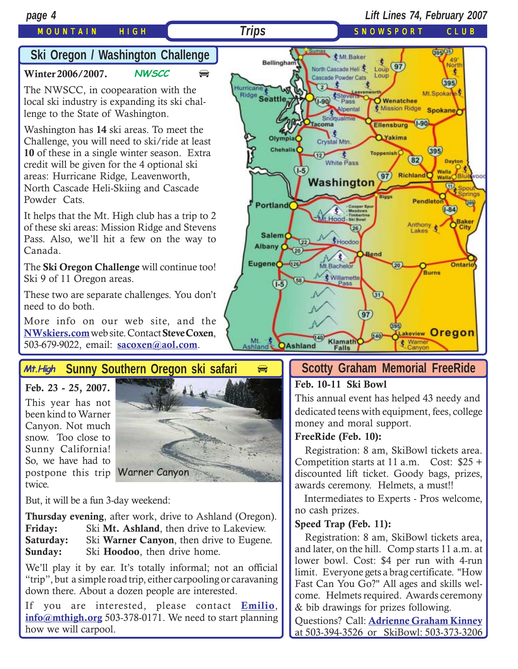## MOUNTAIN HIGH *Trips* SNOWSPORT CLUB

# **Ski Oregon / Washington Challenge**

**[Winter 2006/2007.](http://beavercreek.snow.com/winterhome.asp) NWSCC**  $\qquad \qquad \oplus$  $\qquad \qquad \oplus$  $\qquad \qquad \oplus$ 

The NWSCC, in coopearation with the local ski industry is expanding its ski challenge to the State of Washington.

Washington has **14** ski areas. To meet the Challenge, you will need to ski/ride at least **10** of these in a single winter season. Extra credit will be given for the 4 optional ski areas: Hurricane Ridge, Leavenworth, North Cascade Heli-Skiing and Cascade Powder Cats.

It helps that the Mt. High club has a trip to 2 of these ski areas: Mission Ridge and Stevens Pass. Also, we'll hit a few on the way to Canada.

The **Ski Oregon Challenge** will continue too! Ski 9 of 11 Oregon areas.

These two are separate challenges. You don't need to do both.

More info on our web site, and the **[NWskiers.com](http://www.nwskiers.org/)** web site. Contact **Steve Coxen**, 503-679-9022, email: **[sacoxen@aol.com](mailto:sacoxen@aol.com)**.

#### **Sunny Southern Oregon ski safari Mt.High**

**Feb. 23 - 25, 2007.** This year has not been kind to Warner Canyon. Not much snow. Too close to Sunny California! So, we have had to postpone this trip Warner Canyontwice.



But, it will be a fun 3-day weekend:

**Thursday evening**, after work, drive to Ashland (Oregon). Friday: Ski Mt. Ashland, then drive to Lakeview.<br>**Saturday:** Ski Warner Canyon, then drive to Eugene Ski **Warner Canyon**, then drive to Eugene. **Sunday:** Ski **Hoodoo**, then drive home.

We'll play it by ear. It's totally informal; not an official "trip", but a simple road trip, either carpooling or caravaning down there. About a dozen people are interested.

If you are interested, please contact **[Emilio](mailto:Emilio2000@earthlink.net)**, **[info@mthigh.org](mailto:info@mthigh.org)** 503-378-0171. We need to start planning how we will carpool.



## **Scotty Graham Memorial FreeRide**

#### **Feb. 10-11 Ski Bowl**

This annual event has helped 43 needy and dedicated teens with equipment, fees, college money and moral support.

#### **FreeRide (Feb. 10):**

 Registration: 8 am, SkiBowl tickets area. Competition starts at 11 a.m. Cost: \$25 + discounted lift ticket. Goody bags, prizes, awards ceremony. Helmets, a must!!

 Intermediates to Experts - Pros welcome, no cash prizes.

#### **Speed Trap (Feb. 11):**

 Registration: 8 am, SkiBowl tickets area, and later, on the hill. Comp starts 11 a.m. at lower bowl. Cost: \$4 per run with 4-run limit. Everyone gets a brag certificate. "How Fast Can You Go?" All ages and skills welcome. Helmets required. Awards ceremony & bib drawings for prizes following.

Questions? Call: **[Adrienne Graham Kinney](mailto:fundmaster97@hotmail.com )** at 503-394-3526 or SkiBowl: 503-373-3206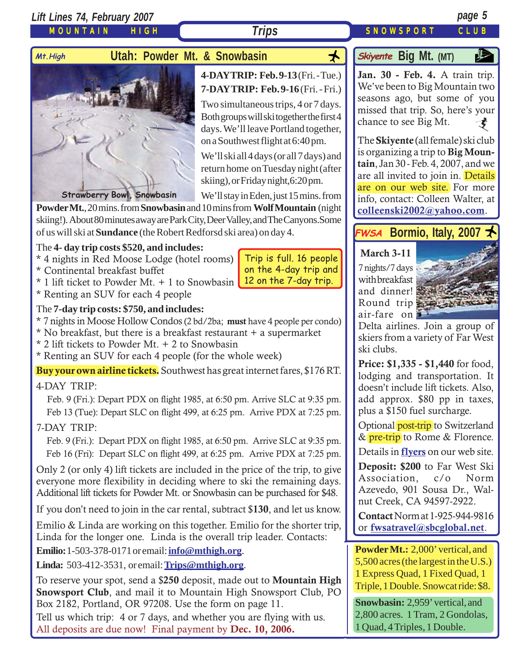*Lift Lines 74, February 2007 page 5*

MOUNTAIN HIGH

## Mt.High **Utah: Powder Mt. & Snowbasin**



## **4-DAY TRIP: Feb. 9-13** (Fri. - Tue.) **7-DAY TRIP: Feb. 9-16** (Fri. - Fri.)

Two simultaneous trips, 4 or 7 days. Both groups will ski together the first 4 days. We'll leave Portland together, on a Southwest flight at 6:40 pm.

We'll ski all 4 days (or all 7 days) and return home on Tuesday night (after skiing), or Friday night,6:20 pm.

We'll stay in Eden, just 15 mins. from

Trip is full. 16 people on the 4-day trip and 12 on the 7-day trip.

**Powder Mt.**, 20 mins. from **Snowbasin** and 10 mins from **Wolf Mountain** (night skiing!). About 80 minutes away are Park City, Deer Valley, and The Canyons.Some of us will ski at **Sundance** (the Robert Redforsd ski area) on day 4.

#### The **4- day trip costs \$520, and includes:**

- \* 4 nights in Red Moose Lodge (hotel rooms)
- \* Continental breakfast buffet
- \* 1 lift ticket to Powder Mt. + 1 to Snowbasin
- \* Renting an SUV for each 4 people

#### The **7-day trip costs: \$750, and includes:**

\* 7 nights in Moose Hollow Condos (2 bd/2ba; **must** have 4 people per condo)

- \* No breakfast, but there is a breakfast restaurant + a supermarket
- \* 2 lift tickets to Powder Mt. + 2 to Snowbasin
- \* Renting an SUV for each 4 people (for the whole week)

**Buy your own airline tickets.** Southwest has great internet fares, \$176 RT.

### 4-DAY TRIP:

 Feb. 9 (Fri.): Depart PDX on flight 1985, at 6:50 pm. Arrive SLC at 9:35 pm. Feb 13 (Tue): Depart SLC on flight 499, at 6:25 pm. Arrive PDX at 7:25 pm.

### 7-DAY TRIP:

 Feb. 9 (Fri.): Depart PDX on flight 1985, at 6:50 pm. Arrive SLC at 9:35 pm. Feb 16 (Fri): Depart SLC on flight 499, at 6:25 pm. Arrive PDX at 7:25 pm.

Only 2 (or only 4) lift tickets are included in the price of the trip, to give everyone more flexibility in deciding where to ski the remaining days. Additional lift tickets for Powder Mt. or Snowbasin can be purchased for \$48.

If you don't need to join in the car rental, subtract \$**130**, and let us know.

Emilio & Linda are working on this together. Emilio for the shorter trip, Linda for the longer one. Linda is the overall trip leader. Contacts:

**Emilio:**1-503-378-0171 or email: **[info@mthigh.org](mailto:info@mthigh.org)**.

**Linda:** 503-412-3531, or email: **[Trips@mthigh.org](mailto:Trips@mthigh.org)**.

To reserve your spot, send a \$**250** deposit, made out to **Mountain High Snowsport Club**, and mail it to Mountain High Snowsport Club, PO Box 2182, Portland, OR 97208. Use the form on page 11.

Tell us which trip: 4 or 7 days, and whether you are flying with us. All deposits are due now! Final payment by **Dec. 10, 2006.**

# **Big Mt.** (MT)

**[Jan. 30 - Feb. 4.](http://beavercreek.snow.com/winterhome.asp)** A train trip. [We](http://beavercreek.snow.com/winterhome.asp)'ve been to Big Mountain two seasons ago, but some of you missed that trip. So, here's your chance to see Big Mt.  $\boldsymbol{t}$ 

The **Skiyente** (all female) ski club is organizing a trip to **Big Mountain**, Jan 30 - Feb. 4, 2007, and we are all invited to join in. Details are on our web site. For more info, contact: Colleen Walter, at **[colleenski2002@yahoo.com](mailto:colleenski2002@yahoo.com)**.

## **FWSA** Bormio, Italy, 2007

### **March 3-11**

7 nights/7 days with breakfast and dinner! Round trip air-fare on



Delta airlines. Join a group of skiers from a variety of Far West ski clubs.

**Price: \$1,335 - \$1,440** for food, lodging and transportation. It doesn't include lift tickets. Also, add approx. \$80 pp in taxes, plus a \$150 fuel surcharge.

Optional post-trip to Switzerland & pre-trip to Rome & Florence.

Details in **[flyers](http://www.mthigh.org/Trips.htm#Bormio)** on our web site.

**Deposit: \$200** to Far West Ski Association, c/o Norm Azevedo, 901 Sousa Dr., Walnut Creek, CA 94597-2922.

**Contact** Norm at 1-925-944-9816 or **[fwsatravel@sbcglobal.net](mailto:fwsatravel@sbcglobal.net)**.

**Powder Mt.:** 2,000' vertical, and 5,500 acres (the largest in the U.S.) 1 Express Quad, 1 Fixed Quad, 1 Triple, 1 Double. Snowcat ride: \$8.

**Snowbasin:** 2,959' vertical, and 2,800 acres. 1 Tram, 2 Gondolas, 1 Quad, 4 Triples, 1 Double.

**Trips** SNOWSPORT CLUB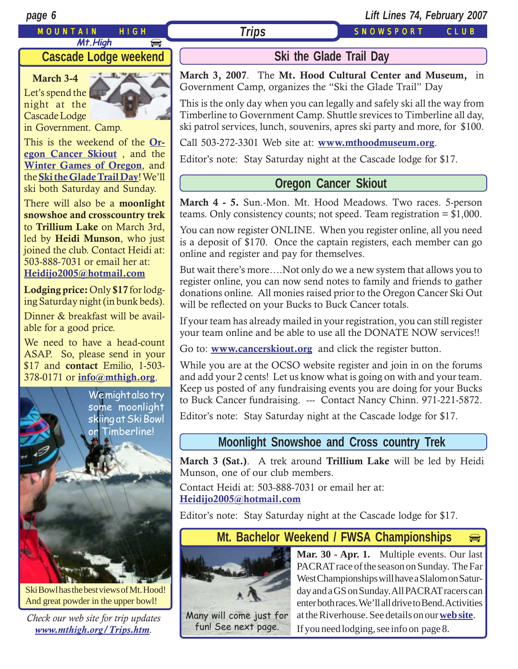#### MOUNTAIN HIGH *Trips* SNOWSPORT CLUB **Mt.High**  $\bigoplus$

*page 6 Lift Lines 74, February 2007*

## **Cascade Lodge weekend**

**March 3-4** Let's spend the night at the Cascade Lodge

in Government. Camp.

This is the weekend of the **[Or](http://www.cancerskiout.org)[egon Cancer Skiout](http://www.cancerskiout.org)** , and the **[Winter Games of Oregon](http://www.wintergamesoforegon.com/)**, and the **[Ski the Glade Trail Day](http://www.mthoodmuseum.org/)**! We'll ski both Saturday and Sunday.

There will also be a **moonlight snowshoe and crosscountry trek** to **Trillium Lake** on March 3rd, led by **Heidi Munson**, who just joined the club. Contact Heidi at: 503-888-7031 or email her at: **[Heidijo2005@hotmail.com](mailto:Heidijo2005@hotmail.com)**

**Lodging price:** Only **\$17** for lodging Saturday night (in bunk beds).

Dinner & breakfast will be available for a good price.

We need to have a head-count ASAP. So, please send in your \$17 and **contact** Emilio, 1-503- 378-0171 or **[info@mthigh.org](mailto:info@mthigh.org)**.



Ski Bowl has the best views of Mt. Hood! And great powder in the upper bowl!

*Check our web site for trip updates [www.mthigh.org/Trips.htm](http://www.mthigh.org/Trips.htm).*

# **Ski the Glade Trail Day**

**March 3, 2007**. The **Mt. Hood Cultural Center and Museum,** in Government Camp, organizes the "Ski the Glade Trail" Day

This is the only day when you can legally and safely ski all the way from Timberline to Government Camp. Shuttle srevices to Timberline all day, ski patrol services, lunch, souvenirs, apres ski party and more, for \$100.

Call 503-272-3301 Web site at: **[www.mthoodmuseum.org](http://www.mthoodmuseum.org/)**.

Editor's note: Stay Saturday night at the Cascade lodge for \$17.

## **Oregon Cancer Skiout**

**March 4 - 5.** Sun.-Mon. Mt. Hood Meadows. Two races. 5-person teams. Only consistency counts; not speed. Team registration  $=$  \$1,000.

You can now register ONLINE. When you register online, all you need is a deposit of \$170. Once the captain registers, each member can go online and register and pay for themselves.

But wait there's more….Not only do we a new system that allows you to register online, you can now send notes to family and friends to gather donations online. All monies raised prior to the Oregon Cancer Ski Out will be reflected on your Bucks to Buck Cancer totals.

If your team has already mailed in your registration, you can still register your team online and be able to use all the DONATE NOW services!!

Go to: **[www.cancerskiout.org](http://www.cancerskiout.org)** and click the register button.

While you are at the OCSO website register and join in on the forums and add your 2 cents! Let us know what is going on with and your team. Keep us posted of any fundraising events you are doing for your Bucks to Buck Cancer fundraising. --- Contact Nancy Chinn. 971-221-5872.

Editor's note: Stay Saturday night at the Cascade lodge for \$17.

## **Moonlight Snowshoe and Cross country Trek**

**March 3 (Sat.)**. A trek around **Trillium Lake** will be led by Heidi Munson, one of our club members.

Contact Heidi at: 503-888-7031 or email her at: **[Heidijo2005@hotmail.com](mailto:Heidijo2005@hotmail.com)**

Editor's note: Stay Saturday night at the Cascade lodge for \$17.

#### **Mt. Bachelor Weekend / FWSA Championships**  $\boxed{\bigoplus}$



Many will come just for fun! See next page.

**Mar. 30 - Apr. 1.** Multiple events. Our last PACRAT race of the season on Sunday. The Far West Championships will have a Slalom on Saturday and a GS on Sunday. All PACRAT racers can enter both races. We'll all drive to Bend. Activities at the Riverhouse. See details on our **[web site](http://www.mthigh.org/Trips.htm#Mt._Bachelor_weekend)**. If you need lodging, see info on page 8.

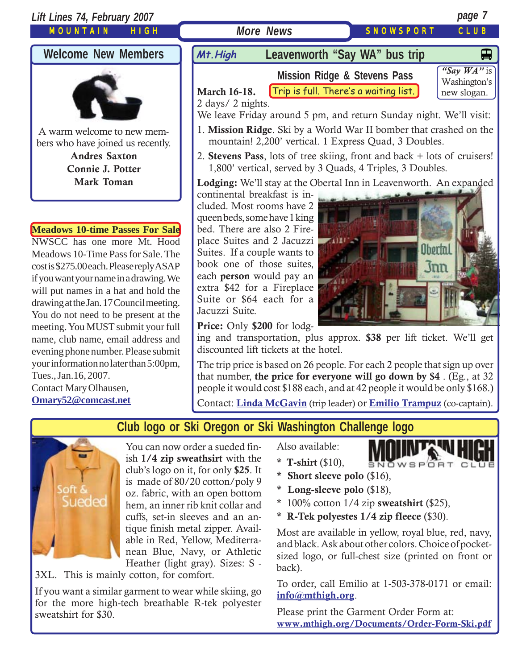

drawing at the Jan. 17 Council meeting. You do not need to be present at the meeting. You MUST submit your full name, club name, email address and evening phone number. Please submit your information no later than 5:00pm, Tues., Jan.16, 2007. Contact Mary Olhausen,

**[Omary52@comcast.net](mailto:omary52@comcast.net)**

#### **Price:** Only **\$200** for lodg-

Jacuzzi Suite.

ing and transportation, plus approx. **\$38** per lift ticket. We'll get discounted lift tickets at the hotel.

The trip price is based on 26 people. For each 2 people that sign up over that number, **the price for everyone will go down by \$4** . (Eg., at 32 people it would cost \$188 each, and at 42 people it would be only \$168.)

Contact: **[Linda McGavin](mailto:Trips@mthigh.org)** (trip leader) or **[Emilio Trampuz](mailto:info@mthigh.org)** (co-captain).





You can now order a sueded finish **1/4 zip sweathsirt** with the club's logo on it, for only **\$25**. It is made of 80/20 cotton/poly 9 oz. fabric, with an open bottom hem, an inner rib knit collar and cuffs, set-in sleeves and an antique finish metal zipper. Available in Red, Yellow, Mediterranean Blue, Navy, or Athletic Heather (light gray). Sizes: S -

3XL. This is mainly cotton, for comfort.

If you want a similar garment to wear while skiing, go for the more high-tech breathable R-tek polyester sweatshirt for \$30.

Also available:

- **\* T-shirt** (\$10),
- **\* Short sleeve polo** (\$16),
- **\* Long-sleeve polo** (\$18),
- \* 100% cotton 1/4 zip **sweatshirt** (\$25),
- **\* R-Tek polyestes 1/4 zip fleece** (\$30).

Most are available in yellow, royal blue, red, navy, and black. Ask about other colors. Choice of pocketsized logo, or full-chest size (printed on front or back).

SNOWSPORT CLUB

To order, call Emilio at 1-503-378-0171 or email: **i[nfo@mthigh.org](mailto:info@mthigh.org)**.

Please print the Garment Order Form at: **[www.mthigh.org/Documents/Order-Form-Ski.pdf](http://www.mthigh.org/Documents/Order-Form-Ski.pdf)**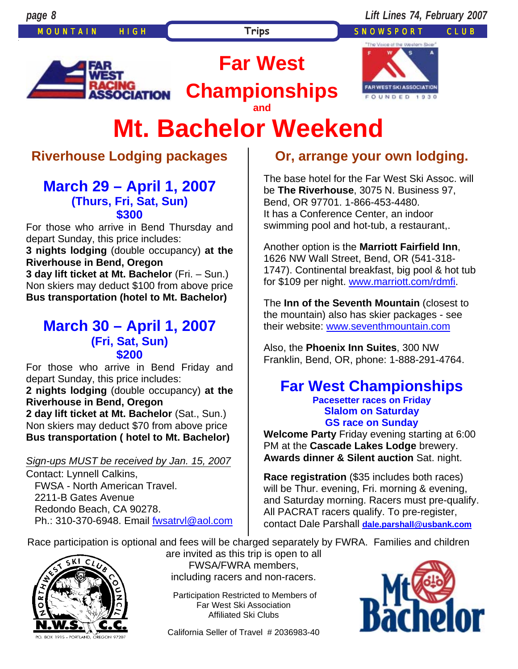MOUNTAIN HIGH **Trips** SNOWSPORT CLUB



**Championships**

**Far West** 



# **Mt. Bachelor Weekend and**

# **Riverhouse Lodging packages**

## **March 29 – April 1, 2007 (Thurs, Fri, Sat, Sun) \$300**

For those who arrive in Bend Thursday and depart Sunday, this price includes:

**3 nights lodging** (double occupancy) **at the Riverhouse in Bend, Oregon** 

**3 day lift ticket at Mt. Bachelor** (Fri. – Sun.) Non skiers may deduct \$100 from above price **Bus transportation (hotel to Mt. Bachelor)**

## **March 30 – April 1, 2007 (Fri, Sat, Sun) \$200**

For those who arrive in Bend Friday and depart Sunday, this price includes:

**2 nights lodging** (double occupancy) **at the Riverhouse in Bend, Oregon** 

**2 day lift ticket at Mt. Bachelor** (Sat., Sun.) Non skiers may deduct \$70 from above price **Bus transportation ( hotel to Mt. Bachelor)** 

## *Sign-ups MUST be received by Jan. 15, 2007*

Contact: Lynnell Calkins, FWSA - North American Travel. 2211-B Gates Avenue Redondo Beach, CA 90278. Ph.: 310-370-6948. Email fwsatrvl@aol.com

# **Or, arrange your own lodging.**

The base hotel for the Far West Ski Assoc. will be **The Riverhouse**, 3075 N. Business 97, Bend, OR 97701. 1-866-453-4480. It has a Conference Center, an indoor swimming pool and hot-tub, a restaurant,.

Another option is the **Marriott Fairfield Inn**, 1626 NW Wall Street, Bend, OR (541-318- 1747). Continental breakfast, big pool & hot tub for \$109 per night. www.marriott.com/rdmfi.

The **Inn of the Seventh Mountain** (closest to the mountain) also has skier packages - see their website: www.seventhmountain.com

Also, the **Phoenix Inn Suites**, 300 NW Franklin, Bend, OR, phone: 1-888-291-4764.

#### **Far West Championships Pacesetter races on Friday Slalom on Saturday GS race on Sunday**

**Welcome Party** Friday evening starting at 6:00 PM at the **Cascade Lakes Lodge** brewery. **Awards dinner & Silent auction** Sat. night.

**Race registration** (\$35 includes both races) will be Thur. evening, Fri. morning & evening, and Saturday morning. Racers must pre-qualify. All PACRAT racers qualify. To pre-register, contact Dale Parshall **dale.parshall@usbank.com**

Race participation is optional and fees will be charged separately by FWRA. Families and children



are invited as this trip is open to all FWSA/FWRA members, including racers and non-racers.

Participation Restricted to Members of Far West Ski Association Affiliated Ski Clubs

California Seller of Travel # 2036983-40

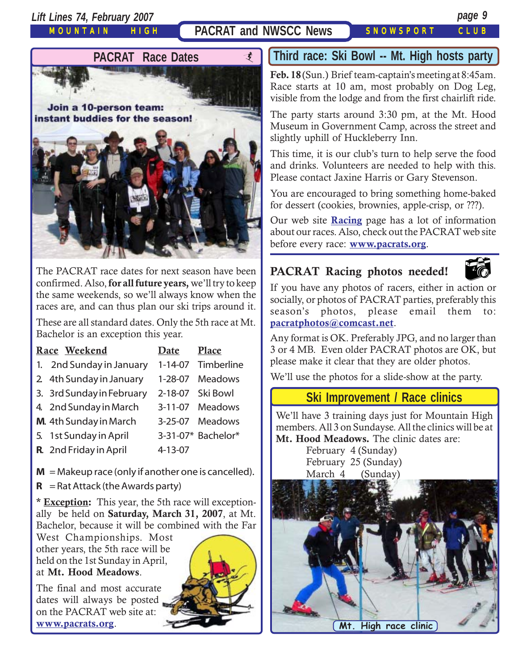*Lift Lines 74, February 2007 page 9*

MOUNTAIN HIGH

## **PACRAT and NWSCC News SNOWSPORT CLUB**



The PACRAT race dates for next season have been confirmed. Also, **for all future years,** we'll try to keep the same weekends, so we'll always know when the races are, and can thus plan our ski trips around it.

These are all standard dates. Only the 5th race at Mt. Bachelor is an exception this year.

| Race Weekend                                          | Date    | Place              |
|-------------------------------------------------------|---------|--------------------|
| 1. 2nd Sunday in January                              |         | 1-14-07 Timberline |
| 2 4th Sunday in January                               |         | 1-28-07 Meadows    |
| 3. 3rd Sunday in February                             |         | 2-18-07 Ski Bowl   |
| 4. 2nd Sunday in March                                |         | 3-11-07 Meadows    |
| <b>M.</b> 4th Sunday in March                         |         | 3-25-07 Meadows    |
| 5. 1st Sunday in April                                |         | 3-31-07* Bachelor* |
| R. 2nd Friday in April                                | 4-13-07 |                    |
| $M =$ Makeup race (only if another one is cancelled). |         |                    |

 $R =$ Rat Attack (the Awards party)

**\* Exception:** This year, the 5th race will exceptionally be held on **Saturday, March 31, 2007**, at Mt. Bachelor, because it will be combined with the Far

West Championships. Most other years, the 5th race will be held on the 1st Sunday in April, at **Mt. Hood Meadows**.

The final and most accurate dates will always be posted on the PACRAT web site at: **[www.pacrats.org](http://www.pacrats.org/)**.

## **Third race: Ski Bowl -- Mt. High hosts party**

**Feb. 18** (Sun.) Brief team-captain's meeting at 8:45am. Race starts at 10 am, most probably on Dog Leg, visible from the lodge and from the first chairlift ride.

The party starts around 3:30 pm, at the Mt. Hood Museum in Government Camp, across the street and slightly uphill of Huckleberry Inn.

This time, it is our club's turn to help serve the food and drinks. Volunteers are needed to help with this. Please contact Jaxine Harris or Gary Stevenson.

You are encouraged to bring something home-baked for dessert (cookies, brownies, apple-crisp, or ???).

Our web site **[Racing](http://www.mthigh.org/Racing.htm)** page has a lot of information about our races. Also, check out the PACRAT web site before every race: **[www.pacrats.org](http://www.pacrats.org/)**.

## **PACRAT Racing photos needed!**



PACRAT Racing photos needed! socially, or photos of PACRAT parties, preferably this season's photos, please email them to: **[pacratphotos@comcast.net](mailto:pacratphotos@comcast.net)**.

Any format is OK. Preferably JPG, and no larger than 3 or 4 MB. Even older PACRAT photos are OK, but please make it clear that they are older photos.

We'll use the photos for a slide-show at the party.

## **Ski Improvement / Race clinics**

We'll have 3 training days just for Mountain High members. All 3 on Sundayse. All the clinics will be at **Mt. Hood Meadows.** The clinic dates are:

> February 4 (Sunday) February 25 (Sunday) March 4 (Sunday)

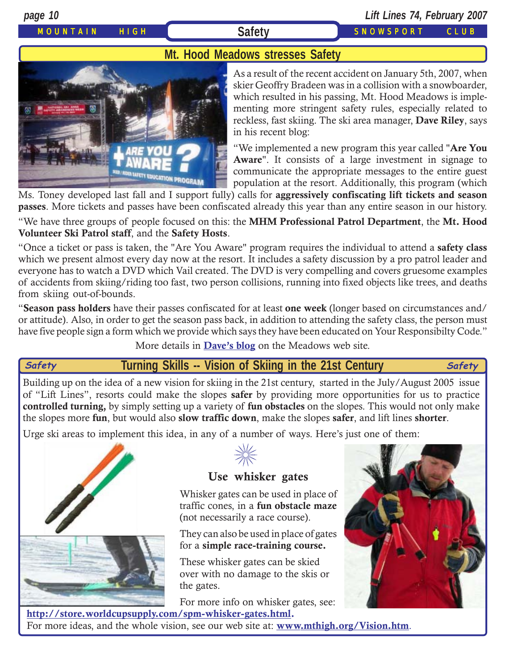*page 10 Lift Lines 74, February 2007*

## MOUNTAIN HIGH **Safety** SNOWSPORT CLUB

## **Mt. Hood Meadows stresses Safety**



As a result of the recent accident on January 5th, 2007, when skier Geoffry Bradeen was in a collision with a snowboarder, which resulted in his passing, Mt. Hood Meadows is implementing more stringent safety rules, especially related to reckless, fast skiing. The ski area manager, **Dave Riley**, says in his recent blog:

"We implemented a new program this year called "**Are You Aware**". It consists of a large investment in signage to communicate the appropriate messages to the entire guest population at the resort. Additionally, this program (which

Ms. Toney developed last fall and I support fully) calls for **aggressively confiscating lift tickets and season passes**. More tickets and passes have been confiscated already this year than any entire season in our history.

"We have three groups of people focused on this: the **MHM Professional Patrol Department**, the **Mt. Hood Volunteer Ski Patrol staff**, and the **Safety Hosts**.

"Once a ticket or pass is taken, the "Are You Aware" program requires the individual to attend a **safety class** which we present almost every day now at the resort. It includes a safety discussion by a pro patrol leader and everyone has to watch a DVD which Vail created. The DVD is very compelling and covers gruesome examples of accidents from skiing/riding too fast, two person collisions, running into fixed objects like trees, and deaths from skiing out-of-bounds.

"**Season pass holders** have their passes confiscated for at least **one week** (longer based on circumstances and/ or attitude). Also, in order to get the season pass back, in addition to attending the safety class, the person must have five people sign a form which we provide which says they have been educated on Your Responsibilty Code."

More details in **[Dave's blog](http://skihood.com/cs/blogs/home.aspx?App=daveriley&AspxAutoDetectCookieSupport=1)** on the Meadows web site.

**Turning Skills -- Vision of Skiing in the 21st Century Safety Safety**

Building up on the idea of a new vision for skiing in the 21st century, started in the July/August 2005 issue of "Lift Lines", resorts could make the slopes **safer** by providing more opportunities for us to practice **controlled turning,** by simply setting up a variety of **fun obstacles** on the slopes. This would not only make the slopes more **fun**, but would also **slow traffic down**, make the slopes **safer**, and lift lines **shorter**.

Urge ski areas to implement this idea, in any of a number of ways. Here's just one of them:







## **Use whisker gates**

Whisker gates can be used in place of traffic cones, in a **fun obstacle maze** (not necessarily a race course).

They can also be used in place of gates for a **simple race-training course.**

These whisker gates can be skied over with no damage to the skis or the gates.

For more info on whisker gates, see:

**[http://store.worldcupsupply.com/spm-whisker-gates.html.](http://store.worldcupsupply.com/spm-whisker-gates.html)** For more ideas, and the whole vision, see our web site at: **[www.mthigh.org/Vision.htm](http://www.mthigh.org/Vision.htm)**.

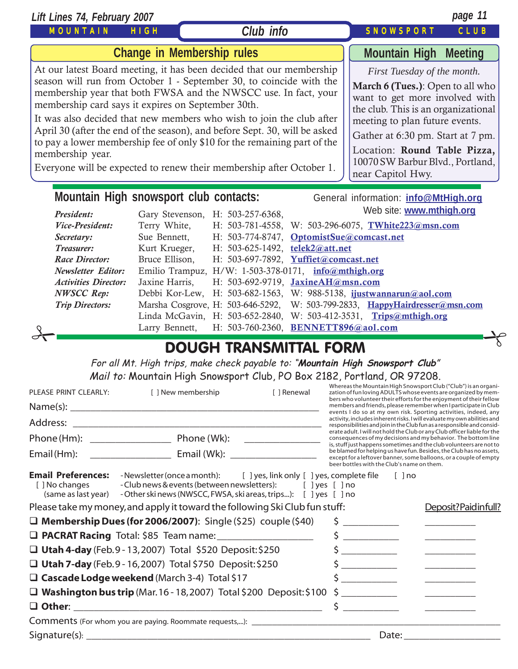| Lift Lines 74, February 2007                                                                                                                                                                                                                                                                                                                                                                                                                                                                                                                                                                                                                                                                                                                                                                                                                                                                                   |                                   |                                                      |  | page 11                                                                     |
|----------------------------------------------------------------------------------------------------------------------------------------------------------------------------------------------------------------------------------------------------------------------------------------------------------------------------------------------------------------------------------------------------------------------------------------------------------------------------------------------------------------------------------------------------------------------------------------------------------------------------------------------------------------------------------------------------------------------------------------------------------------------------------------------------------------------------------------------------------------------------------------------------------------|-----------------------------------|------------------------------------------------------|--|-----------------------------------------------------------------------------|
| MOUNTAIN                                                                                                                                                                                                                                                                                                                                                                                                                                                                                                                                                                                                                                                                                                                                                                                                                                                                                                       | <b>HIGH</b>                       | Club info                                            |  | <b>SNOWSPORT</b><br>CLUB                                                    |
|                                                                                                                                                                                                                                                                                                                                                                                                                                                                                                                                                                                                                                                                                                                                                                                                                                                                                                                | <b>Change in Membership rules</b> |                                                      |  | <b>Mountain High Meeting</b>                                                |
| At our latest Board meeting, it has been decided that our membership<br>First Tuesday of the month.<br>season will run from October 1 - September 30, to coincide with the<br>March 6 (Tues.): Open to all who<br>membership year that both FWSA and the NWSCC use. In fact, your<br>want to get more involved with<br>membership card says it expires on September 30th.<br>the club. This is an organizational<br>It was also decided that new members who wish to join the club after<br>meeting to plan future events.<br>April 30 (after the end of the season), and before Sept. 30, will be asked<br>Gather at 6:30 pm. Start at 7 pm.<br>to pay a lower membership fee of only \$10 for the remaining part of the<br>Location: Round Table Pizza,<br>membership year.<br>10070 SW Barbur Blvd., Portland,<br>Everyone will be expected to renew their membership after October 1.<br>near Capitol Hwy. |                                   |                                                      |  |                                                                             |
| Mountain High snowsport club contacts:                                                                                                                                                                                                                                                                                                                                                                                                                                                                                                                                                                                                                                                                                                                                                                                                                                                                         |                                   |                                                      |  | General information: info@MtHigh.org                                        |
| President:                                                                                                                                                                                                                                                                                                                                                                                                                                                                                                                                                                                                                                                                                                                                                                                                                                                                                                     | Gary Stevenson,                   | H: 503-257-6368,                                     |  | Web site: www.mthigh.org                                                    |
| Vice-President:                                                                                                                                                                                                                                                                                                                                                                                                                                                                                                                                                                                                                                                                                                                                                                                                                                                                                                | Terry White,                      |                                                      |  | H: 503-781-4558, W: 503-296-6075, TWhite223@msn.com                         |
| Secretary:                                                                                                                                                                                                                                                                                                                                                                                                                                                                                                                                                                                                                                                                                                                                                                                                                                                                                                     | Sue Bennett,                      | H: 503-774-8747, OptomistSue@comcast.net             |  |                                                                             |
| Treasurer:                                                                                                                                                                                                                                                                                                                                                                                                                                                                                                                                                                                                                                                                                                                                                                                                                                                                                                     | Kurt Krueger,                     | H: 503-625-1492, telek2@att.net                      |  |                                                                             |
| <b>Race Director:</b>                                                                                                                                                                                                                                                                                                                                                                                                                                                                                                                                                                                                                                                                                                                                                                                                                                                                                          | Bruce Ellison,                    | H: 503-697-7892, Yuffiet@comcast.net                 |  |                                                                             |
| <b>Newsletter Editor:</b>                                                                                                                                                                                                                                                                                                                                                                                                                                                                                                                                                                                                                                                                                                                                                                                                                                                                                      |                                   | Emilio Trampuz, H/W: 1-503-378-0171, info@mthigh.org |  |                                                                             |
| <b>Activities Director:</b>                                                                                                                                                                                                                                                                                                                                                                                                                                                                                                                                                                                                                                                                                                                                                                                                                                                                                    | Jaxine Harris,                    | H: 503-692-9719, JaxineAH@msn.com                    |  |                                                                             |
| <b>NWSCC Rep:</b>                                                                                                                                                                                                                                                                                                                                                                                                                                                                                                                                                                                                                                                                                                                                                                                                                                                                                              | Debbi Kor-Lew,                    |                                                      |  | H: 503-682-1563, W: 988-5138, ijustwannarun@aol.com                         |
| <b>Trip Directors:</b>                                                                                                                                                                                                                                                                                                                                                                                                                                                                                                                                                                                                                                                                                                                                                                                                                                                                                         |                                   |                                                      |  | Marsha Cosgrove, H: 503-646-5292, W: 503-799-2833, HappyHairdresser@msn.com |

| $\sigma$ |                               |  |
|----------|-------------------------------|--|
|          | <b>DOUGH TRANSMITTAL FORM</b> |  |

Linda McGavin, H: 503-652-2840, W: 503-412-3531, **[Trips@mthigh.org](mailto:Trips@mthigh.org)**

For all Mt. High trips, make check payable to: "**Mountain High Snowsport Club**" Mail to: Mountain High Snowsport Club, PO Box 2182, Portland, OR 97208.

| PLEASE PRINT CLEARLY:                                              | [ ] New membership                                                                                                                                                                                      | [ ] Renewal                                |                                                                                                                                                                                                                                                                                                                                                                                                                        |          | Whereas the Mountain High Snowsport Club ("Club") is an organi-<br>zation of fun loving ADULTS whose events are organized by mem-                                                                                                                                                                                                                                                                                     |  |  |
|--------------------------------------------------------------------|---------------------------------------------------------------------------------------------------------------------------------------------------------------------------------------------------------|--------------------------------------------|------------------------------------------------------------------------------------------------------------------------------------------------------------------------------------------------------------------------------------------------------------------------------------------------------------------------------------------------------------------------------------------------------------------------|----------|-----------------------------------------------------------------------------------------------------------------------------------------------------------------------------------------------------------------------------------------------------------------------------------------------------------------------------------------------------------------------------------------------------------------------|--|--|
|                                                                    |                                                                                                                                                                                                         |                                            |                                                                                                                                                                                                                                                                                                                                                                                                                        |          | bers who volunteer their efforts for the enjoyment of their fellow<br>members and friends, please remember when I participate in Club<br>events I do so at my own risk. Sporting activities, indeed, any                                                                                                                                                                                                              |  |  |
|                                                                    |                                                                                                                                                                                                         |                                            |                                                                                                                                                                                                                                                                                                                                                                                                                        |          | activity, includes inherent risks. I will evaluate my own abilities and<br>responsibilities and join in the Club fun as a responsible and consid-                                                                                                                                                                                                                                                                     |  |  |
|                                                                    | Phone (Hm): Phone (Wk):                                                                                                                                                                                 |                                            |                                                                                                                                                                                                                                                                                                                                                                                                                        |          | erate adult. I will not hold the Club or any Club officer liable for the<br>consequences of my decisions and my behavior. The bottom line                                                                                                                                                                                                                                                                             |  |  |
| Email (Hm):                                                        |                                                                                                                                                                                                         | beer bottles with the Club's name on them. |                                                                                                                                                                                                                                                                                                                                                                                                                        |          | is, stuff just happens sometimes and the club volunteers are not to<br>be blamed for helping us have fun. Besides, the Club has no assets,<br>except for a leftover banner, some balloons, or a couple of empty                                                                                                                                                                                                       |  |  |
| <b>Email Preferences:</b><br>[ ] No changes<br>(same as last year) | -Newsletter (once a month): [ ] yes, link only [ ] yes, complete file<br>- Club news & events (between newsletters): [ ] yes [ ] no<br>- Other ski news (NWSCC, FWSA, ski areas, trips): [ ] yes [ ] no |                                            |                                                                                                                                                                                                                                                                                                                                                                                                                        | $[ ]$ no |                                                                                                                                                                                                                                                                                                                                                                                                                       |  |  |
|                                                                    | Please take my money, and apply it toward the following Ski Club fun stuff:                                                                                                                             |                                            |                                                                                                                                                                                                                                                                                                                                                                                                                        |          | Deposit?Paidinfull?                                                                                                                                                                                                                                                                                                                                                                                                   |  |  |
|                                                                    | $\Box$ Membership Dues (for 2006/2007): Single (\$25) couple (\$40)                                                                                                                                     |                                            | $\begin{tabular}{ccccc} \multicolumn{2}{c }{\textbf{1} & \textbf{2} & \textbf{3} & \textbf{4} & \textbf{5} & \textbf{5} & \textbf{6} & \textbf{7} & \textbf{8} & \textbf{9} & \textbf{10} & \textbf{10} & \textbf{10} & \textbf{10} & \textbf{10} & \textbf{10} & \textbf{10} & \textbf{10} & \textbf{10} & \textbf{10} & \textbf{10} & \textbf{10} & \textbf{10} & \textbf{10} & \textbf{10} & \textbf{10} & \textbf$ |          | $\frac{1}{1-\frac{1}{1-\frac{1}{1-\frac{1}{1-\frac{1}{1-\frac{1}{1-\frac{1}{1-\frac{1}{1-\frac{1}{1-\frac{1}{1-\frac{1}{1-\frac{1}{1-\frac{1}{1-\frac{1}{1-\frac{1}{1-\frac{1}{1-\frac{1}{1-\frac{1}{1-\frac{1}{1-\frac{1}{1-\frac{1}{1-\frac{1}{1-\frac{1}{1-\frac{1}{1-\frac{1}{1-\frac{1}{1-\frac{1}{1-\frac{1}{1-\frac{1}{1-\frac{1}{1-\frac{1}{1-\frac{1}{1-\frac{1}{1-\frac{1}{1-\frac{1}{1-\frac{1}{1-\frac{1$ |  |  |
|                                                                    | <b>Q PACRAT Racing</b> Total: \$85 Team name: ____________________                                                                                                                                      |                                            | \$                                                                                                                                                                                                                                                                                                                                                                                                                     |          | $\frac{1}{2}$                                                                                                                                                                                                                                                                                                                                                                                                         |  |  |
|                                                                    | □ Utah 4-day (Feb.9 - 13, 2007) Total \$520 Deposit: \$250                                                                                                                                              |                                            |                                                                                                                                                                                                                                                                                                                                                                                                                        |          |                                                                                                                                                                                                                                                                                                                                                                                                                       |  |  |
|                                                                    | □ Utah 7-day (Feb.9 - 16, 2007) Total \$750 Deposit: \$250                                                                                                                                              |                                            |                                                                                                                                                                                                                                                                                                                                                                                                                        |          |                                                                                                                                                                                                                                                                                                                                                                                                                       |  |  |
|                                                                    | □ Cascade Lodge weekend (March 3-4) Total \$17                                                                                                                                                          |                                            |                                                                                                                                                                                                                                                                                                                                                                                                                        |          |                                                                                                                                                                                                                                                                                                                                                                                                                       |  |  |
|                                                                    | $\Box$ Washington bus trip (Mar. 16 - 18, 2007) Total \$200 Deposit: \$100                                                                                                                              |                                            |                                                                                                                                                                                                                                                                                                                                                                                                                        |          |                                                                                                                                                                                                                                                                                                                                                                                                                       |  |  |
|                                                                    |                                                                                                                                                                                                         |                                            | $\mathsf{\dot{S}}$                                                                                                                                                                                                                                                                                                                                                                                                     |          |                                                                                                                                                                                                                                                                                                                                                                                                                       |  |  |
|                                                                    |                                                                                                                                                                                                         |                                            |                                                                                                                                                                                                                                                                                                                                                                                                                        |          |                                                                                                                                                                                                                                                                                                                                                                                                                       |  |  |
| Signature(s): $\_\_$                                               |                                                                                                                                                                                                         |                                            | Date:                                                                                                                                                                                                                                                                                                                                                                                                                  |          |                                                                                                                                                                                                                                                                                                                                                                                                                       |  |  |